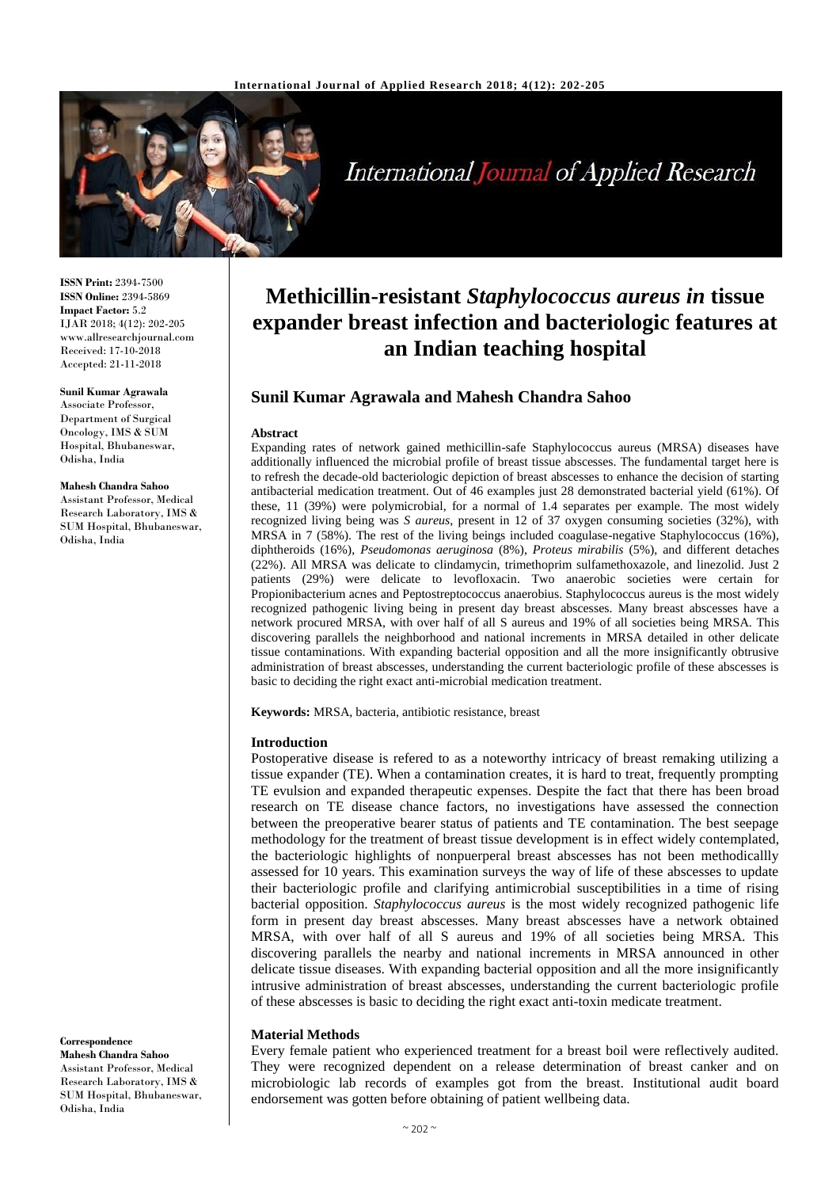

# **International Journal of Applied Research**

**ISSN Print:** 2394-7500 **ISSN Online:** 2394-5869 **Impact Factor:** 5.2 IJAR 2018; 4(12): 202-205 www.allresearchjournal.com Received: 17-10-2018 Accepted: 21-11-2018

**Sunil Kumar Agrawala** Associate Professor, Department of Surgical Oncology, IMS & SUM Hospital, Bhubaneswar, Odisha, India

**Mahesh Chandra Sahoo** Assistant Professor, Medical Research Laboratory, IMS & SUM Hospital, Bhubaneswar, Odisha, India

**Correspondence Mahesh Chandra Sahoo** Assistant Professor, Medical Research Laboratory, IMS & SUM Hospital, Bhubaneswar, Odisha, India

# **Methicillin-resistant** *Staphylococcus aureus in* **tissue expander breast infection and bacteriologic features at an Indian teaching hospital**

# **Sunil Kumar Agrawala and Mahesh Chandra Sahoo**

#### **Abstract**

Expanding rates of network gained methicillin-safe Staphylococcus aureus (MRSA) diseases have additionally influenced the microbial profile of breast tissue abscesses. The fundamental target here is to refresh the decade-old bacteriologic depiction of breast abscesses to enhance the decision of starting antibacterial medication treatment. Out of 46 examples just 28 demonstrated bacterial yield (61%). Of these, 11 (39%) were polymicrobial, for a normal of 1.4 separates per example. The most widely recognized living being was *S aureus*, present in 12 of 37 oxygen consuming societies (32%), with MRSA in 7 (58%). The rest of the living beings included coagulase-negative Staphylococcus (16%), diphtheroids (16%), *Pseudomonas aeruginosa* (8%), *Proteus mirabilis* (5%), and different detaches (22%). All MRSA was delicate to clindamycin, trimethoprim sulfamethoxazole, and linezolid. Just 2 patients (29%) were delicate to levofloxacin. Two anaerobic societies were certain for Propionibacterium acnes and Peptostreptococcus anaerobius. Staphylococcus aureus is the most widely recognized pathogenic living being in present day breast abscesses. Many breast abscesses have a network procured MRSA, with over half of all S aureus and 19% of all societies being MRSA. This discovering parallels the neighborhood and national increments in MRSA detailed in other delicate tissue contaminations. With expanding bacterial opposition and all the more insignificantly obtrusive administration of breast abscesses, understanding the current bacteriologic profile of these abscesses is basic to deciding the right exact anti-microbial medication treatment.

**Keywords:** MRSA, bacteria, antibiotic resistance, breast

#### **Introduction**

Postoperative disease is refered to as a noteworthy intricacy of breast remaking utilizing a tissue expander (TE). When a contamination creates, it is hard to treat, frequently prompting TE evulsion and expanded therapeutic expenses. Despite the fact that there has been broad research on TE disease chance factors, no investigations have assessed the connection between the preoperative bearer status of patients and TE contamination. The best seepage methodology for the treatment of breast tissue development is in effect widely contemplated, the bacteriologic highlights of nonpuerperal breast abscesses has not been methodicallly assessed for 10 years. This examination surveys the way of life of these abscesses to update their bacteriologic profile and clarifying antimicrobial susceptibilities in a time of rising bacterial opposition. *Staphylococcus aureus* is the most widely recognized pathogenic life form in present day breast abscesses. Many breast abscesses have a network obtained MRSA, with over half of all S aureus and 19% of all societies being MRSA. This discovering parallels the nearby and national increments in MRSA announced in other delicate tissue diseases. With expanding bacterial opposition and all the more insignificantly intrusive administration of breast abscesses, understanding the current bacteriologic profile of these abscesses is basic to deciding the right exact anti-toxin medicate treatment.

### **Material Methods**

Every female patient who experienced treatment for a breast boil were reflectively audited. They were recognized dependent on a release determination of breast canker and on microbiologic lab records of examples got from the breast. Institutional audit board endorsement was gotten before obtaining of patient wellbeing data.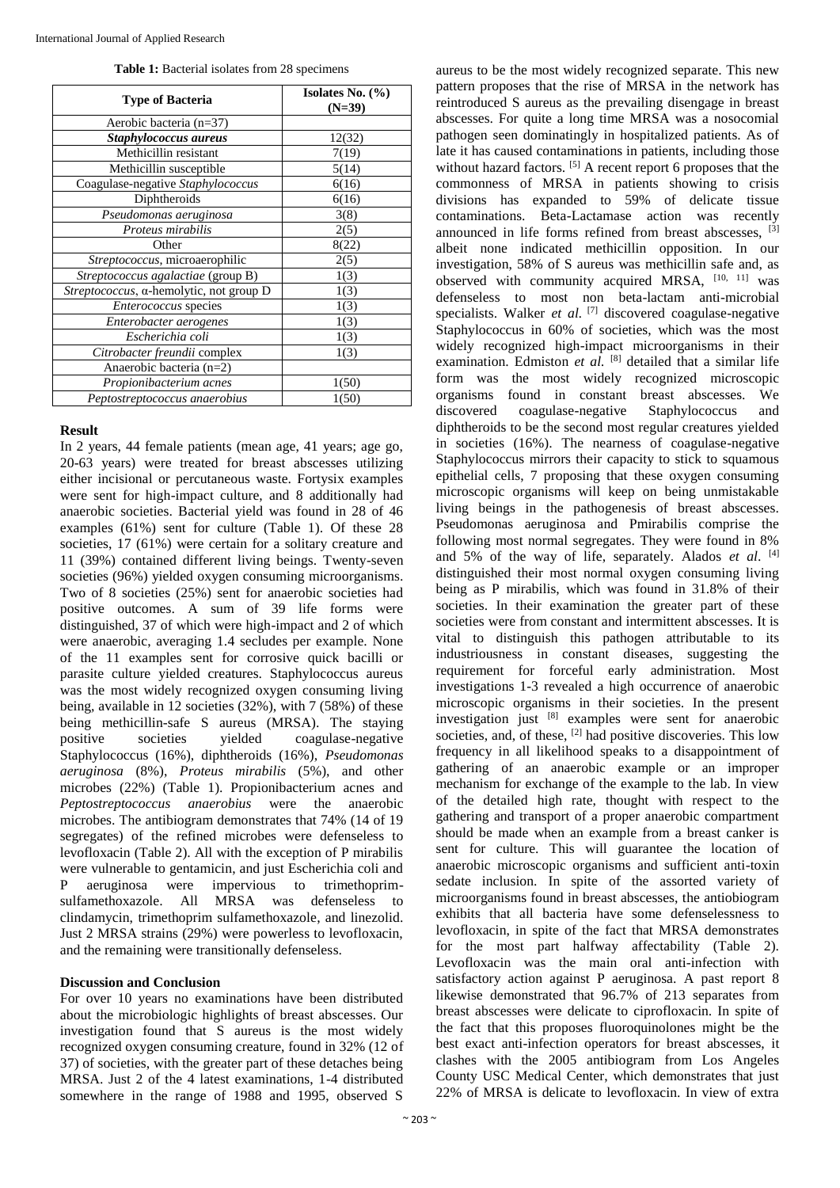| <b>Type of Bacteria</b>                 | Isolates No. $(\% )$<br>$(N=39)$ |  |  |  |
|-----------------------------------------|----------------------------------|--|--|--|
| Aerobic bacteria (n=37)                 |                                  |  |  |  |
| Staphylococcus aureus                   | 12(32)                           |  |  |  |
| Methicillin resistant                   | 7(19)                            |  |  |  |
| Methicillin susceptible                 | 5(14)                            |  |  |  |
| Coagulase-negative Staphylococcus       | 6(16)                            |  |  |  |
| Diphtheroids                            | 6(16)                            |  |  |  |
| Pseudomonas aeruginosa                  | 3(8)                             |  |  |  |
| Proteus mirabilis                       | 2(5)                             |  |  |  |
| Other                                   | 8(22)                            |  |  |  |
| Streptococcus, microaerophilic          | 2(5)                             |  |  |  |
| Streptococcus agalactiae (group B)      | 1(3)                             |  |  |  |
| Streptococcus, a-hemolytic, not group D | 1(3)                             |  |  |  |
| Enterococcus species                    | 1(3)                             |  |  |  |
| Enterobacter aerogenes                  | 1(3)                             |  |  |  |
| Escherichia coli                        | 1(3)                             |  |  |  |
| Citrobacter freundii complex            | 1(3)                             |  |  |  |
| Anaerobic bacteria (n=2)                |                                  |  |  |  |
| Propionibacterium acnes                 | 1(50)                            |  |  |  |
| Peptostreptococcus anaerobius           | 1(50)                            |  |  |  |

#### **Result**

In 2 years, 44 female patients (mean age, 41 years; age go, 20-63 years) were treated for breast abscesses utilizing either incisional or percutaneous waste. Fortysix examples were sent for high-impact culture, and 8 additionally had anaerobic societies. Bacterial yield was found in 28 of 46 examples (61%) sent for culture (Table 1). Of these 28 societies, 17 (61%) were certain for a solitary creature and 11 (39%) contained different living beings. Twenty-seven societies (96%) yielded oxygen consuming microorganisms. Two of 8 societies (25%) sent for anaerobic societies had positive outcomes. A sum of 39 life forms were distinguished, 37 of which were high-impact and 2 of which were anaerobic, averaging 1.4 secludes per example. None of the 11 examples sent for corrosive quick bacilli or parasite culture yielded creatures. Staphylococcus aureus was the most widely recognized oxygen consuming living being, available in 12 societies (32%), with 7 (58%) of these being methicillin-safe S aureus (MRSA). The staying positive societies yielded coagulase-negative Staphylococcus (16%), diphtheroids (16%), *Pseudomonas aeruginosa* (8%), *Proteus mirabilis* (5%), and other microbes (22%) (Table 1). Propionibacterium acnes and *Peptostreptococcus anaerobius* were the anaerobic microbes. The antibiogram demonstrates that 74% (14 of 19 segregates) of the refined microbes were defenseless to levofloxacin (Table 2). All with the exception of P mirabilis were vulnerable to gentamicin, and just Escherichia coli and P aeruginosa were impervious to trimethoprimsulfamethoxazole. All MRSA was defenseless to clindamycin, trimethoprim sulfamethoxazole, and linezolid. Just 2 MRSA strains (29%) were powerless to levofloxacin, and the remaining were transitionally defenseless.

#### **Discussion and Conclusion**

For over 10 years no examinations have been distributed about the microbiologic highlights of breast abscesses. Our investigation found that S aureus is the most widely recognized oxygen consuming creature, found in 32% (12 of 37) of societies, with the greater part of these detaches being MRSA. Just 2 of the 4 latest examinations, 1-4 distributed somewhere in the range of 1988 and 1995, observed S

aureus to be the most widely recognized separate. This new pattern proposes that the rise of MRSA in the network has reintroduced S aureus as the prevailing disengage in breast abscesses. For quite a long time MRSA was a nosocomial pathogen seen dominatingly in hospitalized patients. As of late it has caused contaminations in patients, including those without hazard factors. [5] A recent report 6 proposes that the commonness of MRSA in patients showing to crisis divisions has expanded to 59% of delicate tissue contaminations. Beta-Lactamase action was recently announced in life forms refined from breast abscesses, [3] albeit none indicated methicillin opposition. In our investigation, 58% of S aureus was methicillin safe and, as observed with community acquired MRSA, [10, 11] was defenseless to most non beta-lactam anti-microbial specialists. Walker *et al.* [7] discovered coagulase-negative Staphylococcus in 60% of societies, which was the most widely recognized high-impact microorganisms in their examination. Edmiston *et al.* [8] detailed that a similar life form was the most widely recognized microscopic organisms found in constant breast abscesses. We discovered coagulase-negative Staphylococcus and diphtheroids to be the second most regular creatures yielded in societies (16%). The nearness of coagulase-negative Staphylococcus mirrors their capacity to stick to squamous epithelial cells, 7 proposing that these oxygen consuming microscopic organisms will keep on being unmistakable living beings in the pathogenesis of breast abscesses. Pseudomonas aeruginosa and Pmirabilis comprise the following most normal segregates. They were found in 8% and 5% of the way of life, separately. Alados *et al*. [4] distinguished their most normal oxygen consuming living being as P mirabilis, which was found in 31.8% of their societies. In their examination the greater part of these societies were from constant and intermittent abscesses. It is vital to distinguish this pathogen attributable to its industriousness in constant diseases, suggesting the requirement for forceful early administration. Most investigations 1-3 revealed a high occurrence of anaerobic microscopic organisms in their societies. In the present investigation just  $[8]$  examples were sent for anaerobic societies, and, of these,  $^{[2]}$  had positive discoveries. This low frequency in all likelihood speaks to a disappointment of gathering of an anaerobic example or an improper mechanism for exchange of the example to the lab. In view of the detailed high rate, thought with respect to the gathering and transport of a proper anaerobic compartment should be made when an example from a breast canker is sent for culture. This will guarantee the location of anaerobic microscopic organisms and sufficient anti-toxin sedate inclusion. In spite of the assorted variety of microorganisms found in breast abscesses, the antiobiogram exhibits that all bacteria have some defenselessness to levofloxacin, in spite of the fact that MRSA demonstrates for the most part halfway affectability (Table 2). Levofloxacin was the main oral anti-infection with satisfactory action against P aeruginosa. A past report 8 likewise demonstrated that 96.7% of 213 separates from breast abscesses were delicate to ciprofloxacin. In spite of the fact that this proposes fluoroquinolones might be the best exact anti-infection operators for breast abscesses, it clashes with the 2005 antibiogram from Los Angeles County USC Medical Center, which demonstrates that just 22% of MRSA is delicate to levofloxacin. In view of extra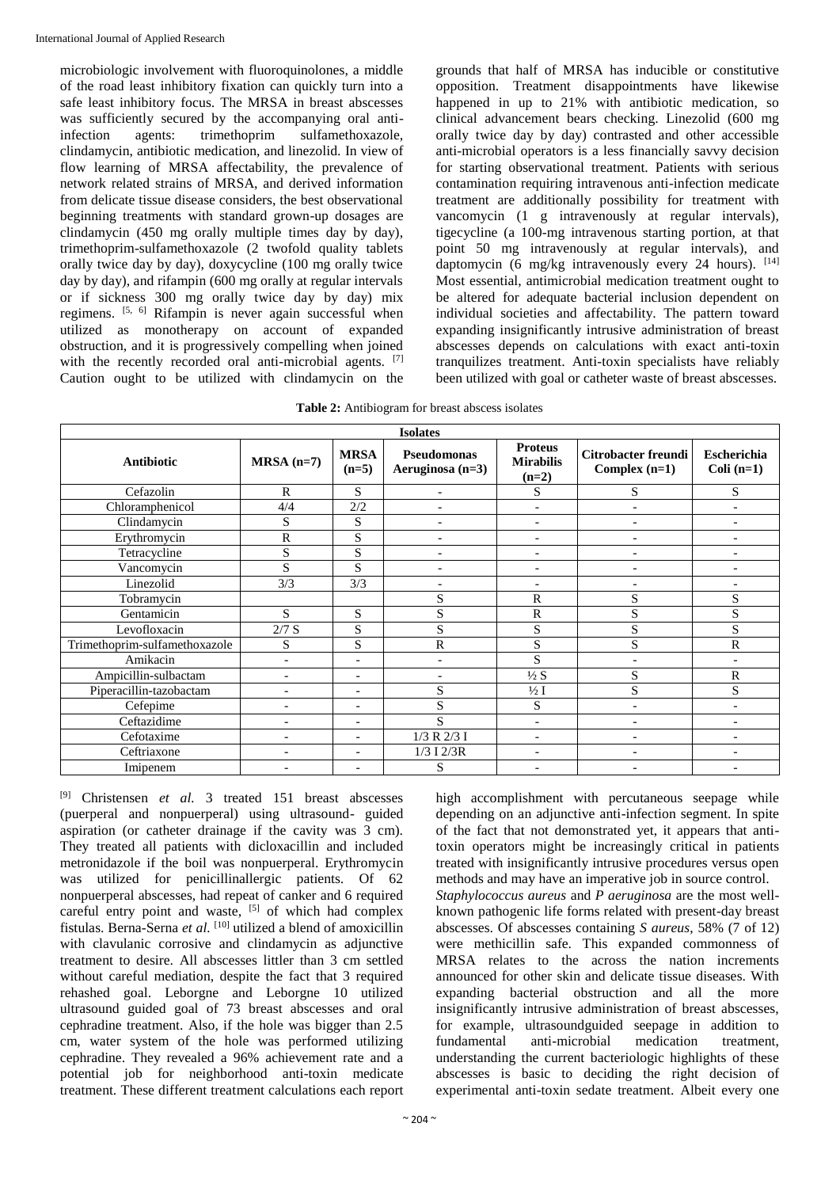microbiologic involvement with fluoroquinolones, a middle of the road least inhibitory fixation can quickly turn into a safe least inhibitory focus. The MRSA in breast abscesses was sufficiently secured by the accompanying oral antiinfection agents: trimethoprim sulfamethoxazole, clindamycin, antibiotic medication, and linezolid. In view of flow learning of MRSA affectability, the prevalence of network related strains of MRSA, and derived information from delicate tissue disease considers, the best observational beginning treatments with standard grown-up dosages are clindamycin (450 mg orally multiple times day by day), trimethoprim-sulfamethoxazole (2 twofold quality tablets orally twice day by day), doxycycline (100 mg orally twice day by day), and rifampin (600 mg orally at regular intervals or if sickness 300 mg orally twice day by day) mix regimens. [5, 6] Rifampin is never again successful when utilized as monotherapy on account of expanded obstruction, and it is progressively compelling when joined with the recently recorded oral anti-microbial agents. [7] Caution ought to be utilized with clindamycin on the

grounds that half of MRSA has inducible or constitutive opposition. Treatment disappointments have likewise happened in up to 21% with antibiotic medication, so clinical advancement bears checking. Linezolid (600 mg orally twice day by day) contrasted and other accessible anti-microbial operators is a less financially savvy decision for starting observational treatment. Patients with serious contamination requiring intravenous anti-infection medicate treatment are additionally possibility for treatment with vancomycin (1 g intravenously at regular intervals), tigecycline (a 100-mg intravenous starting portion, at that point 50 mg intravenously at regular intervals), and daptomycin (6 mg/kg intravenously every 24 hours).  $[14]$ Most essential, antimicrobial medication treatment ought to be altered for adequate bacterial inclusion dependent on individual societies and affectability. The pattern toward expanding insignificantly intrusive administration of breast abscesses depends on calculations with exact anti-toxin tranquilizes treatment. Anti-toxin specialists have reliably been utilized with goal or catheter waste of breast abscesses.

| Table 2: Antibiogram for breast abscess isolates |
|--------------------------------------------------|
|--------------------------------------------------|

| <b>Isolates</b>               |                          |                          |                                   |                                               |                                               |                             |  |  |
|-------------------------------|--------------------------|--------------------------|-----------------------------------|-----------------------------------------------|-----------------------------------------------|-----------------------------|--|--|
| <b>Antibiotic</b>             | $MRSA(n=7)$              | <b>MRSA</b><br>$(n=5)$   | Pseudomonas<br>Aeruginosa $(n=3)$ | <b>Proteus</b><br><b>Mirabilis</b><br>$(n=2)$ | <b>Citrobacter freundi</b><br>Complex $(n=1)$ | Escherichia<br>Coli $(n=1)$ |  |  |
| Cefazolin                     | $\mathsf{R}$             | S                        | $\overline{\phantom{a}}$          | S                                             | S                                             | S                           |  |  |
| Chloramphenicol               | 4/4                      | 2/2                      |                                   | $\overline{\phantom{0}}$                      | $\overline{\phantom{a}}$                      |                             |  |  |
| Clindamycin                   | S                        | S                        | $\overline{\phantom{a}}$          | $\overline{a}$                                | $\overline{a}$                                | $\overline{a}$              |  |  |
| Erythromycin                  | $\mathbf R$              | S                        |                                   |                                               |                                               |                             |  |  |
| Tetracycline                  | S                        | S                        |                                   |                                               | $\overline{\phantom{0}}$                      |                             |  |  |
| Vancomycin                    | S                        | S                        |                                   | $\qquad \qquad \blacksquare$                  | -                                             |                             |  |  |
| Linezolid                     | 3/3                      | 3/3                      | $\overline{\phantom{0}}$          | $\overline{\phantom{a}}$                      | $\overline{\phantom{0}}$                      |                             |  |  |
| Tobramycin                    |                          |                          | S                                 | $\mathbf R$                                   | S                                             | S                           |  |  |
| Gentamicin                    | S                        | S                        | S                                 | $\mathbf R$                                   | S                                             | S                           |  |  |
| Levofloxacin                  | $2/7$ S                  | S                        | S                                 | S                                             | S                                             | S                           |  |  |
| Trimethoprim-sulfamethoxazole | S                        | S                        | R                                 | S                                             | S                                             | $\mathbb{R}$                |  |  |
| Amikacin                      | $\overline{a}$           | $\overline{\phantom{a}}$ |                                   | S                                             | $\overline{a}$                                |                             |  |  |
| Ampicillin-sulbactam          | $\qquad \qquad -$        | $\overline{\phantom{a}}$ |                                   | $\frac{1}{2} S$                               | S                                             | $\mathbb{R}$                |  |  |
| Piperacillin-tazobactam       |                          | $\overline{\phantom{0}}$ | S                                 | $\frac{1}{2}$ I                               | S                                             | S                           |  |  |
| Cefepime                      | ٠                        | $\overline{\phantom{a}}$ | S                                 | S                                             | $\qquad \qquad \blacksquare$                  |                             |  |  |
| Ceftazidime                   | $\overline{\phantom{a}}$ | $\overline{\phantom{a}}$ | S                                 | $\overline{\phantom{a}}$                      | $\overline{\phantom{a}}$                      | $\overline{\phantom{0}}$    |  |  |
| Cefotaxime                    | $\overline{\phantom{a}}$ | $\overline{\phantom{a}}$ | 1/3 R 2/3 I                       | $\overline{\phantom{a}}$                      | $\qquad \qquad \blacksquare$                  |                             |  |  |
| Ceftriaxone                   | $\overline{a}$           | $\overline{\phantom{0}}$ | $1/3$ I $2/3R$                    | $\overline{\phantom{a}}$                      | $\overline{\phantom{0}}$                      |                             |  |  |
| Imipenem                      |                          |                          | S                                 |                                               |                                               |                             |  |  |

[9] Christensen *et al.* 3 treated 151 breast abscesses (puerperal and nonpuerperal) using ultrasound- guided aspiration (or catheter drainage if the cavity was 3 cm). They treated all patients with dicloxacillin and included metronidazole if the boil was nonpuerperal. Erythromycin was utilized for penicillinallergic patients. Of 62 nonpuerperal abscesses, had repeat of canker and 6 required careful entry point and waste, <sup>[5]</sup> of which had complex fistulas. Berna-Serna *et al.* [10] utilized a blend of amoxicillin with clavulanic corrosive and clindamycin as adjunctive treatment to desire. All abscesses littler than 3 cm settled without careful mediation, despite the fact that 3 required rehashed goal. Leborgne and Leborgne 10 utilized ultrasound guided goal of 73 breast abscesses and oral cephradine treatment. Also, if the hole was bigger than 2.5 cm, water system of the hole was performed utilizing cephradine. They revealed a 96% achievement rate and a potential job for neighborhood anti-toxin medicate treatment. These different treatment calculations each report

high accomplishment with percutaneous seepage while depending on an adjunctive anti-infection segment. In spite of the fact that not demonstrated yet, it appears that antitoxin operators might be increasingly critical in patients treated with insignificantly intrusive procedures versus open methods and may have an imperative job in source control. *Staphylococcus aureus* and *P aeruginosa* are the most wellknown pathogenic life forms related with present-day breast

abscesses. Of abscesses containing *S aureus*, 58% (7 of 12) were methicillin safe. This expanded commonness of MRSA relates to the across the nation increments announced for other skin and delicate tissue diseases. With expanding bacterial obstruction and all the more insignificantly intrusive administration of breast abscesses, for example, ultrasoundguided seepage in addition to fundamental anti-microbial medication treatment, understanding the current bacteriologic highlights of these abscesses is basic to deciding the right decision of experimental anti-toxin sedate treatment. Albeit every one